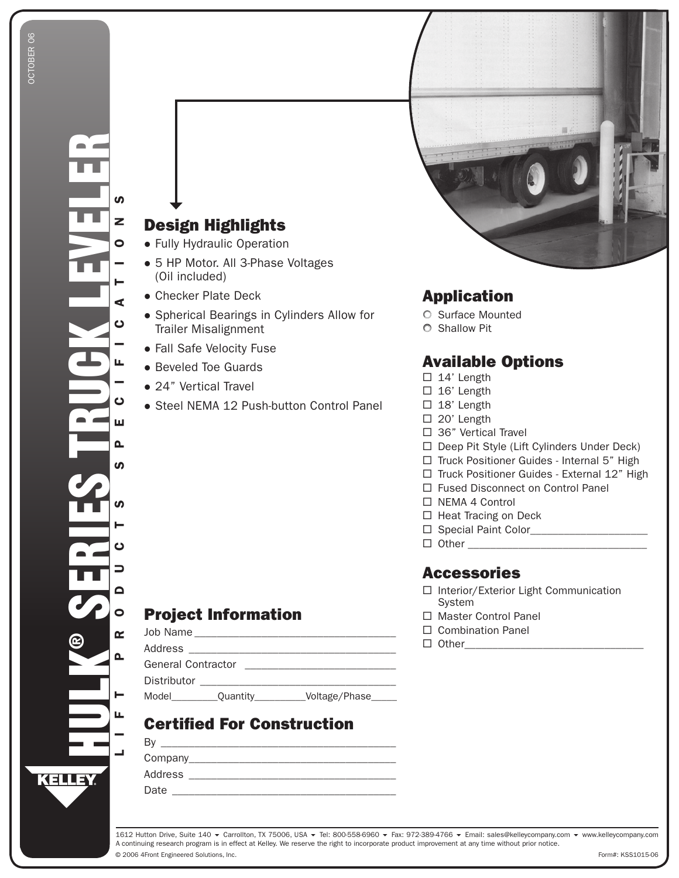# **Design Highlights**

- Fully Hydraulic Operation
- 5 HP Motor. All 3-Phase Voltages (Oil included)
- Checker Plate Deck
- Spherical Bearings in Cylinders Allow for **Trailer Misalignment**
- Fall Safe Velocity Fuse
- Beveled Toe Guards
- 24" Vertical Travel
- Steel NEMA 12 Push-button Control Panel

# **Application**

- Surface Mounted
- O Shallow Pit

### **Available Options**

- $\Box$  14' Length
- $\Box$  16' Length
- $\Box$  18' Length
- $\Box$  20' Length
- $\Box$  36" Vertical Travel
- □ Deep Pit Style (Lift Cylinders Under Deck)
- □ Truck Positioner Guides Internal 5" High
- □ Truck Positioner Guides External 12" High
- □ Fused Disconnect on Control Panel
- $\Box$  NEMA 4 Control
- □ Heat Tracing on Deck
- 
- 

#### **Accessories**

- □ Interior/Exterior Light Communication System
- □ Master Control Panel
- □ Combination Panel
- $\Box$  Other

#### **Project Information**

| JOD Name                  |                                                                                 |               |
|---------------------------|---------------------------------------------------------------------------------|---------------|
| Address                   | the contract of the contract of the contract of the contract of the contract of |               |
| <b>General Contractor</b> |                                                                                 |               |
| Distributor               |                                                                                 |               |
| Model                     | Quantity                                                                        | Voltage/Phase |

# **Certified For Construction**

| $\mathbf{v}$ |  |
|--------------|--|
| Company_     |  |
| Address      |  |
|              |  |

 $\mathbf{D}$ 

Date

1612 Hutton Drive, Suite 140 ▼ Carrollton, TX 75006, USA ▼ Tel: 800-558-6960 ▼ Fax: 972-389-4766 ▼ Email: sales@kelleycompany.com ▼ www.kelleycompany.com A continuing research program is in effect at Kelley. We reserve the right to incorporate product improvement at any time without prior notice. © 2006 4Front Engineered Solutions, Inc.